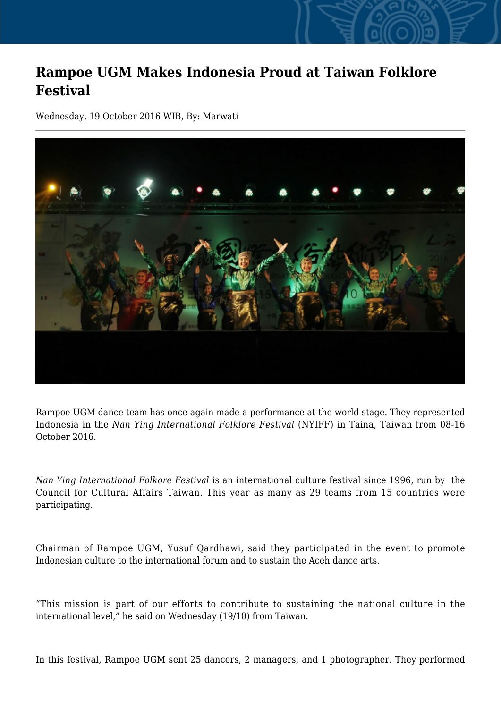## **Rampoe UGM Makes Indonesia Proud at Taiwan Folklore Festival**

Wednesday, 19 October 2016 WIB, By: Marwati



Rampoe UGM dance team has once again made a performance at the world stage. They represented Indonesia in the *Nan Ying International Folklore Festival* (NYIFF) in Taina, Taiwan from 08-16 October 2016.

*Nan Ying International Folkore Festival* is an international culture festival since 1996, run by the Council for Cultural Affairs Taiwan. This year as many as 29 teams from 15 countries were participating.

Chairman of Rampoe UGM, Yusuf Qardhawi, said they participated in the event to promote Indonesian culture to the international forum and to sustain the Aceh dance arts.

"This mission is part of our efforts to contribute to sustaining the national culture in the international level," he said on Wednesday (19/10) from Taiwan.

In this festival, Rampoe UGM sent 25 dancers, 2 managers, and 1 photographer. They performed